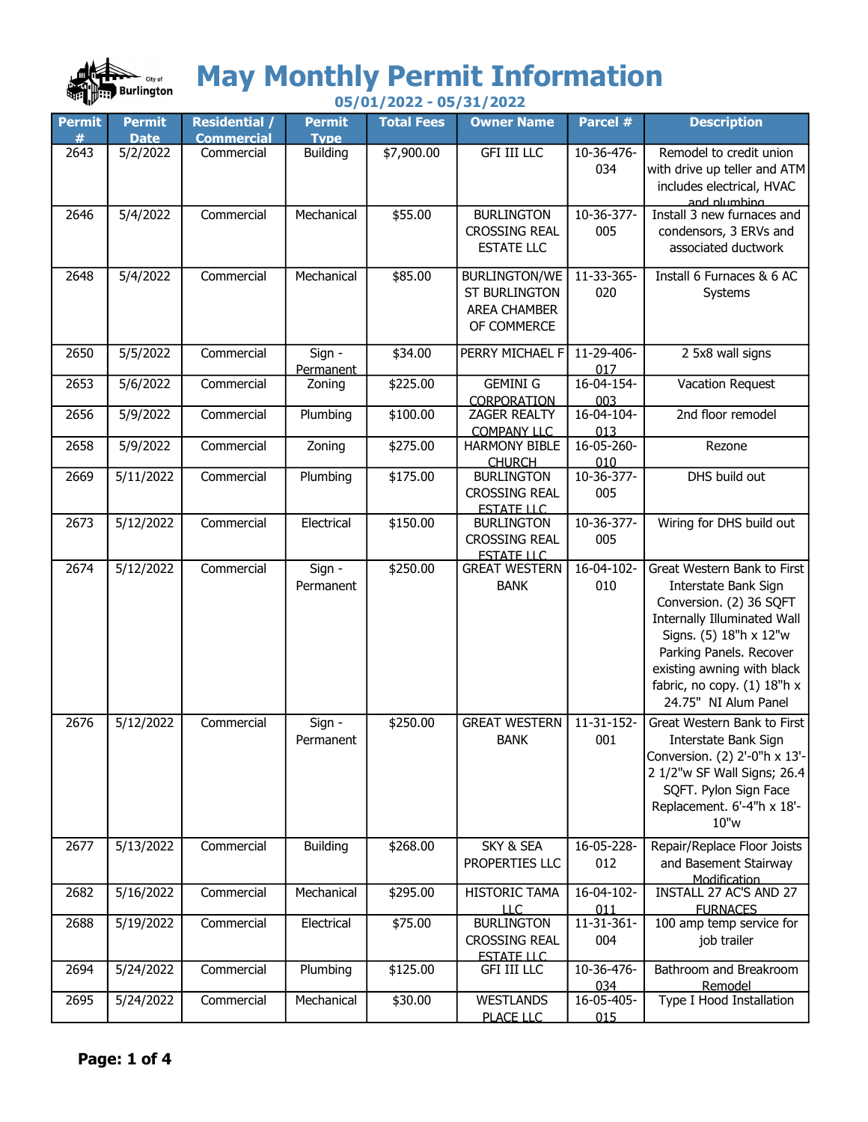

## May Monthly Permit Information

| $\mathbf{w}$       | 05/01/2022 - 05/31/2022      |                                           |                              |                   |                                                                                    |                   |                                                                                                                                                                                                                                                                |  |
|--------------------|------------------------------|-------------------------------------------|------------------------------|-------------------|------------------------------------------------------------------------------------|-------------------|----------------------------------------------------------------------------------------------------------------------------------------------------------------------------------------------------------------------------------------------------------------|--|
| <b>Permit</b><br># | <b>Permit</b><br><b>Date</b> | <b>Residential /</b><br><b>Commercial</b> | <b>Permit</b><br><b>Type</b> | <b>Total Fees</b> | <b>Owner Name</b>                                                                  | Parcel #          | <b>Description</b>                                                                                                                                                                                                                                             |  |
| 2643               | 5/2/2022                     | Commercial                                | <b>Building</b>              | \$7,900.00        | <b>GFI III LLC</b>                                                                 | 10-36-476-<br>034 | Remodel to credit union<br>with drive up teller and ATM<br>includes electrical, HVAC<br>and plumbing                                                                                                                                                           |  |
| 2646               | 5/4/2022                     | Commercial                                | Mechanical                   | \$55.00           | <b>BURLINGTON</b><br><b>CROSSING REAL</b><br><b>ESTATE LLC</b>                     | 10-36-377-<br>005 | Install 3 new furnaces and<br>condensors, 3 ERVs and<br>associated ductwork                                                                                                                                                                                    |  |
| 2648               | 5/4/2022                     | Commercial                                | Mechanical                   | \$85.00           | <b>BURLINGTON/WE</b><br><b>ST BURLINGTON</b><br><b>AREA CHAMBER</b><br>OF COMMERCE | 11-33-365-<br>020 | Install 6 Furnaces & 6 AC<br>Systems                                                                                                                                                                                                                           |  |
| 2650               | 5/5/2022                     | Commercial                                | Sign -<br>Permanent          | \$34.00           | PERRY MICHAEL F                                                                    | 11-29-406-<br>017 | 2 5x8 wall signs                                                                                                                                                                                                                                               |  |
| 2653               | 5/6/2022                     | Commercial                                | Zoning                       | \$225.00          | <b>GEMINI G</b><br>CORPORATION                                                     | 16-04-154-<br>003 | Vacation Request                                                                                                                                                                                                                                               |  |
| 2656               | 5/9/2022                     | Commercial                                | Plumbing                     | \$100.00          | <b>ZAGER REALTY</b><br><b>COMPANY LLC</b>                                          | 16-04-104-<br>013 | 2nd floor remodel                                                                                                                                                                                                                                              |  |
| 2658               | 5/9/2022                     | Commercial                                | Zoning                       | \$275.00          | <b>HARMONY BIBLE</b><br><b>CHURCH</b>                                              | 16-05-260-<br>010 | Rezone                                                                                                                                                                                                                                                         |  |
| 2669               | 5/11/2022                    | Commercial                                | Plumbing                     | \$175.00          | <b>BURLINGTON</b><br><b>CROSSING REAL</b><br><b>ESTATE LLC</b>                     | 10-36-377-<br>005 | DHS build out                                                                                                                                                                                                                                                  |  |
| 2673               | 5/12/2022                    | Commercial                                | Electrical                   | \$150.00          | <b>BURLINGTON</b><br><b>CROSSING REAL</b><br><b>ESTATE LLC</b>                     | 10-36-377-<br>005 | Wiring for DHS build out                                                                                                                                                                                                                                       |  |
| 2674               | 5/12/2022                    | Commercial                                | Sign -<br>Permanent          | \$250.00          | <b>GREAT WESTERN</b><br><b>BANK</b>                                                | 16-04-102-<br>010 | Great Western Bank to First<br>Interstate Bank Sign<br>Conversion. (2) 36 SQFT<br><b>Internally Illuminated Wall</b><br>Signs. (5) 18"h x 12"w<br>Parking Panels. Recover<br>existing awning with black<br>fabric, no copy. (1) 18"h x<br>24.75" NI Alum Panel |  |
| 2676               | 5/12/2022                    | Commercial                                | Sign -<br>Permanent          | \$250.00          | <b>GREAT WESTERN</b><br><b>BANK</b>                                                | 11-31-152-<br>001 | Great Western Bank to First<br>Interstate Bank Sign<br>Conversion. (2) 2'-0"h x 13'-<br>2 1/2"w SF Wall Signs; 26.4<br>SQFT. Pylon Sign Face<br>Replacement. 6'-4"h x 18'-<br>10"w                                                                             |  |
| 2677               | 5/13/2022                    | Commercial                                | <b>Building</b>              | \$268.00          | SKY & SEA<br>PROPERTIES LLC                                                        | 16-05-228-<br>012 | Repair/Replace Floor Joists<br>and Basement Stairway<br>Modification                                                                                                                                                                                           |  |
| 2682               | 5/16/2022                    | Commercial                                | Mechanical                   | \$295.00          | <b>HISTORIC TAMA</b><br><b>LLC</b>                                                 | 16-04-102-<br>011 | INSTALL 27 AC'S AND 27<br><b>FURNACES</b>                                                                                                                                                                                                                      |  |
| 2688               | 5/19/2022                    | Commercial                                | Electrical                   | \$75.00           | <b>BURLINGTON</b><br><b>CROSSING REAL</b><br><b>ESTATE LLC</b>                     | 11-31-361-<br>004 | 100 amp temp service for<br>job trailer                                                                                                                                                                                                                        |  |
| 2694               | 5/24/2022                    | Commercial                                | Plumbing                     | \$125.00          | <b>GFI III LLC</b>                                                                 | 10-36-476-<br>034 | Bathroom and Breakroom<br>Remodel                                                                                                                                                                                                                              |  |
| 2695               | 5/24/2022                    | Commercial                                | Mechanical                   | \$30.00           | <b>WESTLANDS</b><br>PLACE LLC                                                      | 16-05-405-<br>015 | Type I Hood Installation                                                                                                                                                                                                                                       |  |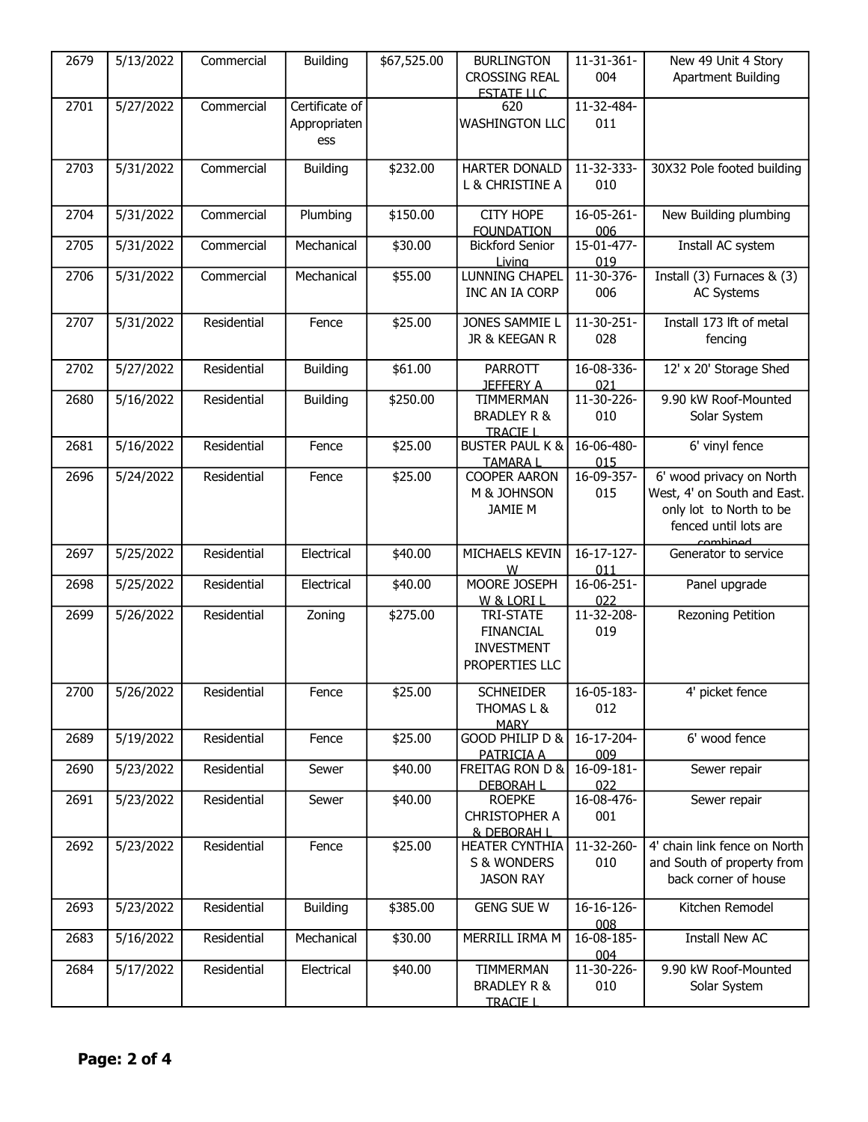| 2679 | 5/13/2022              | Commercial  | <b>Building</b> | \$67,525.00 | <b>BURLINGTON</b>          | 11-31-361-               | New 49 Unit 4 Story              |
|------|------------------------|-------------|-----------------|-------------|----------------------------|--------------------------|----------------------------------|
|      |                        |             |                 |             | <b>CROSSING REAL</b>       | 004                      | <b>Apartment Building</b>        |
|      |                        |             |                 |             | <b>ESTATE LLC</b>          |                          |                                  |
| 2701 | 5/27/2022              | Commercial  | Certificate of  |             | 620                        | 11-32-484-               |                                  |
|      |                        |             | Appropriaten    |             | <b>WASHINGTON LLC</b>      | 011                      |                                  |
|      |                        |             |                 |             |                            |                          |                                  |
|      |                        |             | ess             |             |                            |                          |                                  |
| 2703 | 5/31/2022              | Commercial  | <b>Building</b> | \$232.00    | HARTER DONALD              | 11-32-333-               | 30X32 Pole footed building       |
|      |                        |             |                 |             |                            |                          |                                  |
|      |                        |             |                 |             | L & CHRISTINE A            | 010                      |                                  |
|      |                        |             |                 |             |                            |                          |                                  |
| 2704 | 5/31/2022              | Commercial  | Plumbing        | \$150.00    | <b>CITY HOPE</b>           | 16-05-261-               | New Building plumbing            |
|      |                        |             |                 |             | <b>FOUNDATION</b>          | 006                      |                                  |
| 2705 | 5/31/2022              | Commercial  | Mechanical      | \$30.00     | <b>Bickford Senior</b>     | 15-01-477-               | Install AC system                |
|      |                        |             |                 |             | Living                     | 019                      |                                  |
| 2706 | 5/31/2022              | Commercial  | Mechanical      | \$55.00     | <b>LUNNING CHAPEL</b>      | 11-30-376-               | Install $(3)$ Furnaces & $(3)$   |
|      |                        |             |                 |             | INC AN IA CORP             | 006                      | <b>AC Systems</b>                |
|      |                        |             |                 |             |                            |                          |                                  |
| 2707 | 5/31/2022              | Residential | Fence           | \$25.00     | JONES SAMMIE L             | 11-30-251-               | Install 173 lft of metal         |
|      |                        |             |                 |             | JR & KEEGAN R              | 028                      | fencing                          |
|      |                        |             |                 |             |                            |                          |                                  |
| 2702 | 5/27/2022              | Residential | <b>Building</b> | \$61.00     | PARROTT                    | 16-08-336-               | 12' x 20' Storage Shed           |
|      |                        |             |                 |             | <b>JEFFERY A</b>           | 021                      |                                  |
| 2680 | 5/16/2022              | Residential | <b>Building</b> | \$250.00    | <b>TIMMERMAN</b>           | 11-30-226-               | 9.90 kW Roof-Mounted             |
|      |                        |             |                 |             | <b>BRADLEY R &amp;</b>     | 010                      | Solar System                     |
|      |                        |             |                 |             | <b>TRACIE I</b>            |                          |                                  |
| 2681 | 5/16/2022              | Residential | Fence           | \$25.00     | <b>BUSTER PAUL K &amp;</b> | 16-06-480-               | 6' vinyl fence                   |
|      |                        |             |                 |             | <b>TAMARA L</b>            | 015                      |                                  |
| 2696 | 5/24/2022              | Residential | Fence           | \$25.00     | <b>COOPER AARON</b>        | 16-09-357-               | 6' wood privacy on North         |
|      |                        |             |                 |             | M & JOHNSON                | 015                      | West, 4' on South and East.      |
|      |                        |             |                 |             |                            |                          |                                  |
|      |                        |             |                 |             | <b>JAMIE M</b>             |                          | only lot to North to be          |
|      |                        |             |                 |             |                            |                          | fenced until lots are            |
| 2697 | 5/25/2022              | Residential | Electrical      | \$40.00     | MICHAELS KEVIN             | 16-17-127-               | combined<br>Generator to service |
|      |                        |             |                 |             |                            |                          |                                  |
|      | 5/25/2022              | Residential | Electrical      | \$40.00     | w<br>MOORE JOSEPH          | 011<br>$16 - 06 - 251 -$ |                                  |
| 2698 |                        |             |                 |             |                            |                          | Panel upgrade                    |
|      |                        |             |                 |             | W & LORI L                 | 022                      |                                  |
| 2699 | $\overline{5/26}/2022$ | Residential | Zoning          | \$275.00    | <b>TRI-STATE</b>           | 11-32-208-               | Rezoning Petition                |
|      |                        |             |                 |             | <b>FINANCIAL</b>           | 019                      |                                  |
|      |                        |             |                 |             | <b>INVESTMENT</b>          |                          |                                  |
|      |                        |             |                 |             | PROPERTIES LLC             |                          |                                  |
|      |                        |             |                 |             |                            |                          |                                  |
| 2700 | 5/26/2022              | Residential | Fence           | \$25.00     | <b>SCHNEIDER</b>           | 16-05-183-               | 4' picket fence                  |
|      |                        |             |                 |             | THOMAS L &                 | 012                      |                                  |
|      |                        |             |                 |             | <b>MARY</b>                |                          |                                  |
| 2689 | 5/19/2022              | Residential | Fence           | \$25.00     | GOOD PHILIP D &            | 16-17-204-               | 6' wood fence                    |
|      |                        |             |                 |             | PATRICIA A                 | 009                      |                                  |
| 2690 | 5/23/2022              | Residential | Sewer           | \$40.00     | FREITAG RON D &            | 16-09-181-               | Sewer repair                     |
|      |                        |             |                 |             | <b>DEBORAH L</b>           | 022                      |                                  |
| 2691 | 5/23/2022              | Residential | Sewer           | \$40.00     | <b>ROEPKE</b>              | 16-08-476-               | Sewer repair                     |
|      |                        |             |                 |             | <b>CHRISTOPHER A</b>       | 001                      |                                  |
|      |                        |             |                 |             | & DEBORAH I                |                          |                                  |
| 2692 | 5/23/2022              | Residential | Fence           | \$25.00     | HEATER CYNTHIA             | 11-32-260-               | 4' chain link fence on North     |
|      |                        |             |                 |             | S & WONDERS                | 010                      | and South of property from       |
|      |                        |             |                 |             | <b>JASON RAY</b>           |                          | back corner of house             |
|      |                        |             |                 |             |                            |                          |                                  |
| 2693 | 5/23/2022              | Residential | <b>Building</b> | \$385.00    | <b>GENG SUE W</b>          | 16-16-126-               | Kitchen Remodel                  |
|      |                        |             |                 |             |                            | 008                      |                                  |
| 2683 | 5/16/2022              | Residential | Mechanical      | \$30.00     | MERRILL IRMA M             | 16-08-185-               | Install New AC                   |
|      |                        |             |                 |             |                            | 004                      |                                  |
| 2684 | 5/17/2022              | Residential | Electrical      | \$40.00     | TIMMERMAN                  | 11-30-226-               | 9.90 kW Roof-Mounted             |
|      |                        |             |                 |             |                            |                          |                                  |
|      |                        |             |                 |             | <b>BRADLEY R &amp;</b>     | 010                      | Solar System                     |
|      |                        |             |                 |             | <b>TRACIE I</b>            |                          |                                  |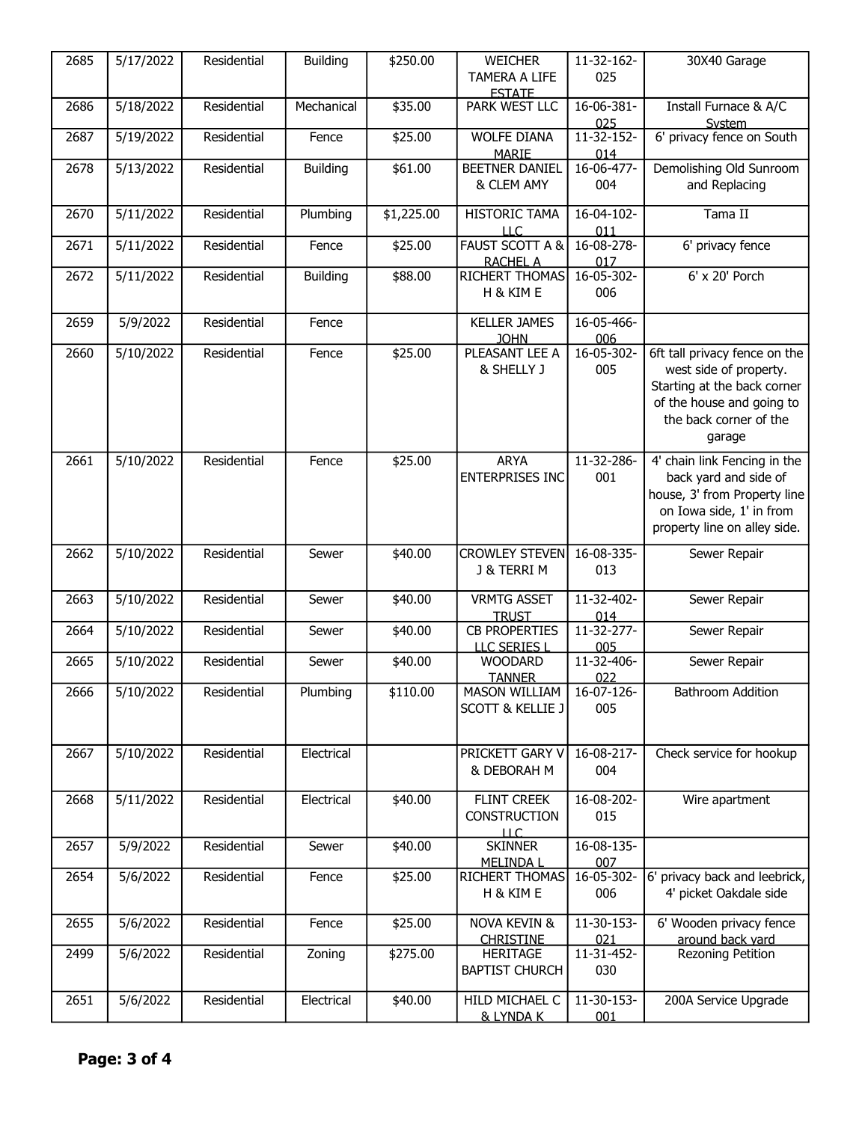| 2685 | 5/17/2022 | Residential | <b>Building</b> | \$250.00   | <b>WEICHER</b>                        | 11-32-162-        | 30X40 Garage                        |
|------|-----------|-------------|-----------------|------------|---------------------------------------|-------------------|-------------------------------------|
|      |           |             |                 |            | TAMERA A LIFE                         | 025               |                                     |
|      |           |             |                 |            | <b>FSTATE</b>                         |                   |                                     |
| 2686 | 5/18/2022 | Residential | Mechanical      | \$35.00    | PARK WEST LLC                         | 16-06-381-        | Install Furnace & A/C               |
| 2687 | 5/19/2022 | Residential | Fence           | \$25.00    | <b>WOLFE DIANA</b>                    | 025<br>11-32-152- | System<br>6' privacy fence on South |
|      |           |             |                 |            | <b>MARIE</b>                          | 014               |                                     |
| 2678 | 5/13/2022 | Residential | <b>Building</b> | \$61.00    | <b>BEETNER DANIEL</b>                 | $16 - 06 - 477$   | Demolishing Old Sunroom             |
|      |           |             |                 |            | & CLEM AMY                            | 004               | and Replacing                       |
|      |           |             |                 |            |                                       |                   |                                     |
| 2670 | 5/11/2022 | Residential | Plumbing        | \$1,225.00 | <b>HISTORIC TAMA</b>                  | $16-04-102-$      | Tama II                             |
|      |           |             |                 |            | <b>LLC</b>                            | 011               |                                     |
| 2671 | 5/11/2022 | Residential | Fence           | \$25.00    | <b>FAUST SCOTT A &amp;</b>            | 16-08-278-        | 6' privacy fence                    |
|      |           |             |                 |            | <b>RACHEL A</b>                       | 017               |                                     |
| 2672 | 5/11/2022 | Residential | <b>Building</b> | \$88.00    | <b>RICHERT THOMAS</b>                 | 16-05-302-        | 6' x 20' Porch                      |
|      |           |             |                 |            | H & KIM E                             | 006               |                                     |
| 2659 | 5/9/2022  | Residential | Fence           |            | <b>KELLER JAMES</b>                   | 16-05-466-        |                                     |
|      |           |             |                 |            | <b>JOHN</b>                           | 006               |                                     |
| 2660 | 5/10/2022 | Residential | Fence           | \$25.00    | PLEASANT LEE A                        | 16-05-302-        | 6ft tall privacy fence on the       |
|      |           |             |                 |            | & SHELLY J                            | 005               | west side of property.              |
|      |           |             |                 |            |                                       |                   | Starting at the back corner         |
|      |           |             |                 |            |                                       |                   | of the house and going to           |
|      |           |             |                 |            |                                       |                   | the back corner of the              |
|      |           |             |                 |            |                                       |                   | garage                              |
|      |           |             |                 |            |                                       |                   |                                     |
| 2661 | 5/10/2022 | Residential | Fence           | \$25.00    | <b>ARYA</b>                           | 11-32-286-        | 4' chain link Fencing in the        |
|      |           |             |                 |            | ENTERPRISES INC                       | 001               | back yard and side of               |
|      |           |             |                 |            |                                       |                   | house, 3' from Property line        |
|      |           |             |                 |            |                                       |                   | on Iowa side, 1' in from            |
|      |           |             |                 |            |                                       |                   | property line on alley side.        |
| 2662 | 5/10/2022 | Residential | Sewer           | \$40.00    | <b>CROWLEY STEVEN</b>                 | 16-08-335-        | Sewer Repair                        |
|      |           |             |                 |            | J & TERRI M                           | 013               |                                     |
|      |           |             |                 |            |                                       |                   |                                     |
| 2663 | 5/10/2022 | Residential | Sewer           | \$40.00    | <b>VRMTG ASSET</b>                    | 11-32-402-        | Sewer Repair                        |
|      |           |             |                 |            | <b>TRUST</b>                          | 014               |                                     |
| 2664 | 5/10/2022 | Residential | Sewer           | \$40.00    | <b>CB PROPERTIES</b>                  | 11-32-277-        | Sewer Repair                        |
|      |           |             |                 |            | LLC SERIES I                          | 005               |                                     |
| 2665 | 5/10/2022 | Residential | Sewer           | \$40.00    | <b>WOODARD</b>                        | 11-32-406-        | Sewer Repair                        |
| 2666 | 5/10/2022 | Residential | Plumbing        | \$110.00   | <b>TANNER</b><br><b>MASON WILLIAM</b> | 022<br>16-07-126- | Bathroom Addition                   |
|      |           |             |                 |            | <b>SCOTT &amp; KELLIE J</b>           | 005               |                                     |
|      |           |             |                 |            |                                       |                   |                                     |
|      |           |             |                 |            |                                       |                   |                                     |
| 2667 | 5/10/2022 | Residential | Electrical      |            | PRICKETT GARY V                       | 16-08-217-        | Check service for hookup            |
|      |           |             |                 |            | & DEBORAH M                           | 004               |                                     |
|      |           |             |                 |            |                                       |                   |                                     |
| 2668 | 5/11/2022 | Residential | Electrical      | \$40.00    | FLINT CREEK                           | 16-08-202-        | Wire apartment                      |
|      |           |             |                 |            | CONSTRUCTION                          | 015               |                                     |
|      |           |             |                 |            | ШC.                                   |                   |                                     |
| 2657 | 5/9/2022  | Residential | Sewer           | \$40.00    | <b>SKINNER</b>                        | 16-08-135-        |                                     |
|      |           |             |                 |            | <b>MELINDA L</b>                      | 007               |                                     |
| 2654 | 5/6/2022  | Residential | Fence           | \$25.00    | RICHERT THOMAS                        | 16-05-302-        | 6' privacy back and leebrick,       |
|      |           |             |                 |            | H & KIM E                             | 006               | 4' picket Oakdale side              |
| 2655 | 5/6/2022  | Residential | Fence           | \$25.00    | <b>NOVA KEVIN &amp;</b>               | 11-30-153-        | 6' Wooden privacy fence             |
|      |           |             |                 |            | <b>CHRISTINE</b>                      | 021               | around back vard                    |
| 2499 | 5/6/2022  | Residential | Zoning          | \$275.00   | <b>HERITAGE</b>                       | 11-31-452-        | Rezoning Petition                   |
|      |           |             |                 |            | <b>BAPTIST CHURCH</b>                 | 030               |                                     |
|      |           |             |                 |            |                                       |                   |                                     |
| 2651 | 5/6/2022  | Residential | Electrical      | \$40.00    | HILD MICHAEL C                        | 11-30-153-        | 200A Service Upgrade                |
|      |           |             |                 |            | & LYNDA K                             | 001               |                                     |